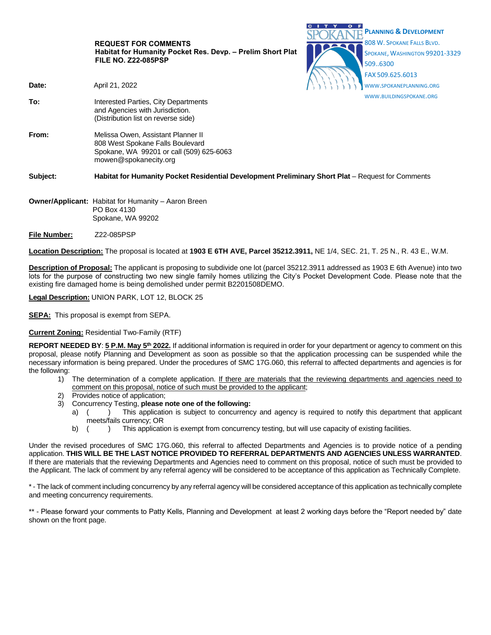|                                                            | <b>REQUEST FOR COMMENTS</b><br>Habitat for Humanity Pocket Res. Devp. - Prelim Short Plat<br><b>FILE NO. Z22-085PSP</b>                     | <b>PLANNING &amp; DEVELOPMENT</b><br>808 W. SPOKANE FALLS BLVD.<br>SPOKANE, WASHINGTON 99201-3329<br>509.6300<br>FAX 509.625.6013 |
|------------------------------------------------------------|---------------------------------------------------------------------------------------------------------------------------------------------|-----------------------------------------------------------------------------------------------------------------------------------|
| Date:                                                      | April 21, 2022                                                                                                                              | WWW.SPOKANEPLANNING.ORG                                                                                                           |
| To:                                                        | Interested Parties, City Departments<br>and Agencies with Jurisdiction.<br>(Distribution list on reverse side)                              | WWW.BUILDINGSPOKANE.ORG                                                                                                           |
| From:                                                      | Melissa Owen, Assistant Planner II<br>808 West Spokane Falls Boulevard<br>Spokane, WA 99201 or call (509) 625-6063<br>mowen@spokanecity.org |                                                                                                                                   |
| Subject:                                                   | Habitat for Humanity Pocket Residential Development Preliminary Short Plat – Request for Comments                                           |                                                                                                                                   |
| <b>Owner/Applicant: Habitat for Humanity - Aaron Breen</b> |                                                                                                                                             |                                                                                                                                   |

CITY OF

- PO Box 4130 Spokane, WA 99202
- **File Number:** Z22-085PSP

**Location Description:** The proposal is located at **1903 E 6TH AVE, Parcel 35212.3911,** NE 1/4, SEC. 21, T. 25 N., R. 43 E., W.M.

**Description of Proposal:** The applicant is proposing to subdivide one lot (parcel 35212.3911 addressed as 1903 E 6th Avenue) into two lots for the purpose of constructing two new single family homes utilizing the City's Pocket Development Code. Please note that the existing fire damaged home is being demolished under permit B2201508DEMO.

**Legal Description:** UNION PARK, LOT 12, BLOCK 25

**SEPA:** This proposal is exempt from SEPA.

## **Current Zoning:** Residential Two-Family (RTF)

**REPORT NEEDED BY**: **5 P.M. May 5 th 2022.** If additional information is required in order for your department or agency to comment on this proposal, please notify Planning and Development as soon as possible so that the application processing can be suspended while the necessary information is being prepared. Under the procedures of SMC 17G.060, this referral to affected departments and agencies is for the following:

- 1) The determination of a complete application. If there are materials that the reviewing departments and agencies need to comment on this proposal, notice of such must be provided to the applicant;
- Provides notice of application;
- 3) Concurrency Testing, **please note one of the following:**
	- a) () This application is subject to concurrency and agency is required to notify this department that applicant meets/fails currency; OR
	- b) ( ) This application is exempt from concurrency testing, but will use capacity of existing facilities.

Under the revised procedures of SMC 17G.060, this referral to affected Departments and Agencies is to provide notice of a pending application. **THIS WILL BE THE LAST NOTICE PROVIDED TO REFERRAL DEPARTMENTS AND AGENCIES UNLESS WARRANTED**. If there are materials that the reviewing Departments and Agencies need to comment on this proposal, notice of such must be provided to the Applicant. The lack of comment by any referral agency will be considered to be acceptance of this application as Technically Complete.

\* - The lack of comment including concurrency by any referral agency will be considered acceptance of this application as technically complete and meeting concurrency requirements.

\*\* - Please forward your comments to Patty Kells, Planning and Development at least 2 working days before the "Report needed by" date shown on the front page.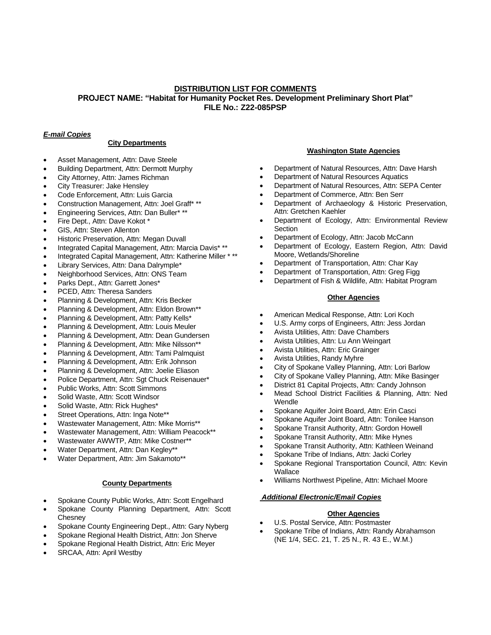## **DISTRIBUTION LIST FOR COMMENTS PROJECT NAME: "Habitat for Humanity Pocket Res. Development Preliminary Short Plat" FILE No.: Z22-085PSP**

# *E-mail Copies*

## **City Departments**

- Asset Management, Attn: Dave Steele
- Building Department, Attn: Dermott Murphy
- City Attorney, Attn: James Richman
- City Treasurer: Jake Hensley
- Code Enforcement, Attn: Luis Garcia
- Construction Management, Attn: Joel Graff\* \*\*
- Engineering Services, Attn: Dan Buller\* \*\*
- Fire Dept., Attn: Dave Kokot \*
- GIS, Attn: Steven Allenton
- Historic Preservation, Attn: Megan Duvall
- Integrated Capital Management, Attn: Marcia Davis\* \*\*
- Integrated Capital Management, Attn: Katherine Miller \* \*\*
- Library Services, Attn: Dana Dalrymple\*
- Neighborhood Services, Attn: ONS Team
- Parks Dept., Attn: Garrett Jones\*
- PCED, Attn: Theresa Sanders
- Planning & Development, Attn: Kris Becker
- Planning & Development, Attn: Eldon Brown\*\*
- Planning & Development, Attn: Patty Kells\*
- Planning & Development, Attn: Louis Meuler
- Planning & Development, Attn: Dean Gundersen
- Planning & Development, Attn: Mike Nilsson\*\*
- Planning & Development, Attn: Tami Palmquist
- Planning & Development, Attn: Erik Johnson
- Planning & Development, Attn: Joelie Eliason
- Police Department, Attn: Sgt Chuck Reisenauer\*
- Public Works, Attn: Scott Simmons
- Solid Waste, Attn: Scott Windsor
- Solid Waste, Attn: Rick Hughes\*
- Street Operations, Attn: Inga Note\*\*
- Wastewater Management, Attn: Mike Morris\*\*
- Wastewater Management, Attn: William Peacock\*\*
- Wastewater AWWTP, Attn: Mike Costner\*\*
- Water Department, Attn: Dan Kegley\*\*
- Water Department, Attn: Jim Sakamoto\*\*

## **County Departments**

- Spokane County Public Works, Attn: Scott Engelhard
- Spokane County Planning Department, Attn: Scott **Chesnev**
- Spokane County Engineering Dept., Attn: Gary Nyberg
- Spokane Regional Health District, Attn: Jon Sherve
- Spokane Regional Health District, Attn: Eric Meyer
- SRCAA, Attn: April Westby

## **Washington State Agencies**

- Department of Natural Resources, Attn: Dave Harsh
- Department of Natural Resources Aquatics
- Department of Natural Resources, Attn: SEPA Center
- Department of Commerce, Attn: Ben Serr
- Department of Archaeology & Historic Preservation, Attn: Gretchen Kaehler
- Department of Ecology, Attn: Environmental Review **Section**
- Department of Ecology, Attn: Jacob McCann
- Department of Ecology, Eastern Region, Attn: David Moore, Wetlands/Shoreline
- Department of Transportation, Attn: Char Kay
- Department of Transportation, Attn: Greg Figg
- Department of Fish & Wildlife, Attn: Habitat Program

## **Other Agencies**

- American Medical Response, Attn: Lori Koch
- U.S. Army corps of Engineers, Attn: Jess Jordan
- Avista Utilities, Attn: Dave Chambers
- Avista Utilities, Attn: Lu Ann Weingart
- Avista Utilities, Attn: Eric Grainger
- Avista Utilities, Randy Myhre
- City of Spokane Valley Planning, Attn: Lori Barlow
- City of Spokane Valley Planning, Attn: Mike Basinger
- District 81 Capital Projects, Attn: Candy Johnson
- Mead School District Facilities & Planning, Attn: Ned Wendle
- Spokane Aquifer Joint Board, Attn: Erin Casci
- Spokane Aquifer Joint Board, Attn: Tonilee Hanson
- Spokane Transit Authority, Attn: Gordon Howell
- Spokane Transit Authority, Attn: Mike Hynes
- Spokane Transit Authority, Attn: Kathleen Weinand
- Spokane Tribe of Indians, Attn: Jacki Corley
- Spokane Regional Transportation Council, Attn: Kevin **Wallace**
- Williams Northwest Pipeline, Attn: Michael Moore

## *Additional Electronic/Email Copies*

#### **Other Agencies**

- U.S. Postal Service, Attn: Postmaster
- Spokane Tribe of Indians, Attn: Randy Abrahamson (NE 1/4, SEC. 21, T. 25 N., R. 43 E., W.M.)